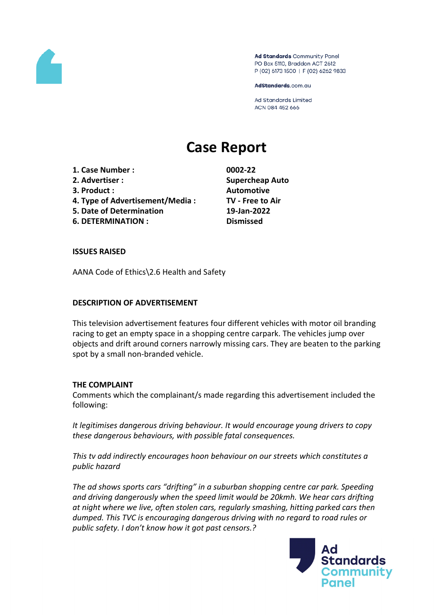

Ad Standards Community Panel PO Box 5110, Braddon ACT 2612 P (02) 6173 1500 | F (02) 6262 9833

AdStandards.com.au

**Ad Standards Limited** ACN 084 452 666

# **Case Report**

- **1. Case Number : 0002-22**
- 
- 
- **4. Type of Advertisement/Media : TV - Free to Air**
- **5. Date of Determination 19-Jan-2022**
- **6. DETERMINATION : Dismissed**

**2. Advertiser : Supercheap Auto 3. Product : Automotive**

## **ISSUES RAISED**

AANA Code of Ethics\2.6 Health and Safety

# **DESCRIPTION OF ADVERTISEMENT**

This television advertisement features four different vehicles with motor oil branding racing to get an empty space in a shopping centre carpark. The vehicles jump over objects and drift around corners narrowly missing cars. They are beaten to the parking spot by a small non-branded vehicle.

## **THE COMPLAINT**

Comments which the complainant/s made regarding this advertisement included the following:

*It legitimises dangerous driving behaviour. It would encourage young drivers to copy these dangerous behaviours, with possible fatal consequences.*

*This tv add indirectly encourages hoon behaviour on our streets which constitutes a public hazard*

*The ad shows sports cars "drifting" in a suburban shopping centre car park. Speeding and driving dangerously when the speed limit would be 20kmh. We hear cars drifting at night where we live, often stolen cars, regularly smashing, hitting parked cars then dumped. This TVC is encouraging dangerous driving with no regard to road rules or public safety. I don't know how it got past censors.?*

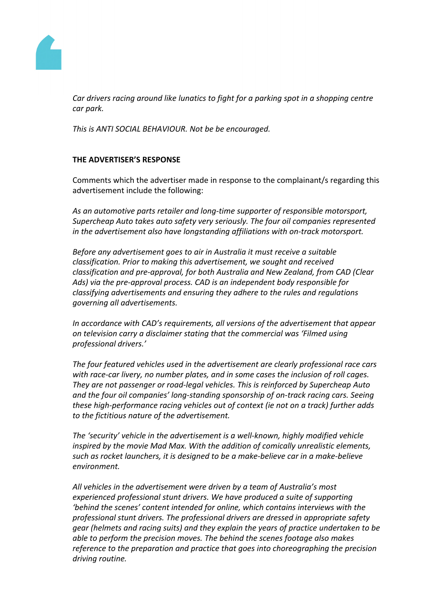

*Car drivers racing around like lunatics to fight for a parking spot in a shopping centre car park.*

*This is ANTI SOCIAL BEHAVIOUR. Not be be encouraged.*

#### **THE ADVERTISER'S RESPONSE**

Comments which the advertiser made in response to the complainant/s regarding this advertisement include the following:

*As an automotive parts retailer and long-time supporter of responsible motorsport, Supercheap Auto takes auto safety very seriously. The four oil companies represented in the advertisement also have longstanding affiliations with on-track motorsport.*

*Before any advertisement goes to air in Australia it must receive a suitable classification. Prior to making this advertisement, we sought and received classification and pre-approval, for both Australia and New Zealand, from CAD (Clear Ads) via the pre-approval process. CAD is an independent body responsible for classifying advertisements and ensuring they adhere to the rules and regulations governing all advertisements.*

*In accordance with CAD's requirements, all versions of the advertisement that appear on television carry a disclaimer stating that the commercial was 'Filmed using professional drivers.'*

*The four featured vehicles used in the advertisement are clearly professional race cars with race-car livery, no number plates, and in some cases the inclusion of roll cages. They are not passenger or road-legal vehicles. This is reinforced by Supercheap Auto and the four oil companies' long-standing sponsorship of on-track racing cars. Seeing these high-performance racing vehicles out of context (ie not on a track) further adds to the fictitious nature of the advertisement.*

*The 'security' vehicle in the advertisement is a well-known, highly modified vehicle inspired by the movie Mad Max. With the addition of comically unrealistic elements, such as rocket launchers, it is designed to be a make-believe car in a make-believe environment.*

*All vehicles in the advertisement were driven by a team of Australia's most experienced professional stunt drivers. We have produced a suite of supporting 'behind the scenes' content intended for online, which contains interviews with the professional stunt drivers. The professional drivers are dressed in appropriate safety gear (helmets and racing suits) and they explain the years of practice undertaken to be able to perform the precision moves. The behind the scenes footage also makes reference to the preparation and practice that goes into choreographing the precision driving routine.*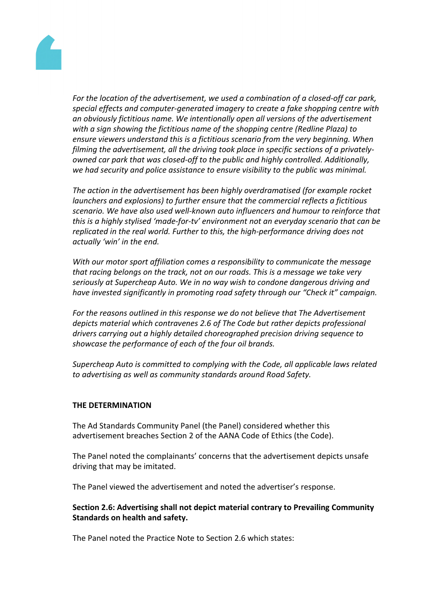

*For the location of the advertisement, we used a combination of a closed-off car park, special effects and computer-generated imagery to create a fake shopping centre with an obviously fictitious name. We intentionally open all versions of the advertisement with a sign showing the fictitious name of the shopping centre (Redline Plaza) to ensure viewers understand this is a fictitious scenario from the very beginning. When filming the advertisement, all the driving took place in specific sections of a privatelyowned car park that was closed-off to the public and highly controlled. Additionally, we had security and police assistance to ensure visibility to the public was minimal.*

*The action in the advertisement has been highly overdramatised (for example rocket launchers and explosions) to further ensure that the commercial reflects a fictitious scenario. We have also used well-known auto influencers and humour to reinforce that this is a highly stylised 'made-for-tv' environment not an everyday scenario that can be replicated in the real world. Further to this, the high-performance driving does not actually 'win' in the end.*

*With our motor sport affiliation comes a responsibility to communicate the message that racing belongs on the track, not on our roads. This is a message we take very seriously at Supercheap Auto. We in no way wish to condone dangerous driving and have invested significantly in promoting road safety through our "Check it" campaign.*

*For the reasons outlined in this response we do not believe that The Advertisement depicts material which contravenes 2.6 of The Code but rather depicts professional drivers carrying out a highly detailed choreographed precision driving sequence to showcase the performance of each of the four oil brands.*

*Supercheap Auto is committed to complying with the Code, all applicable laws related to advertising as well as community standards around Road Safety.*

#### **THE DETERMINATION**

The Ad Standards Community Panel (the Panel) considered whether this advertisement breaches Section 2 of the AANA Code of Ethics (the Code).

The Panel noted the complainants' concerns that the advertisement depicts unsafe driving that may be imitated.

The Panel viewed the advertisement and noted the advertiser's response.

#### **Section 2.6: Advertising shall not depict material contrary to Prevailing Community Standards on health and safety.**

The Panel noted the Practice Note to Section 2.6 which states: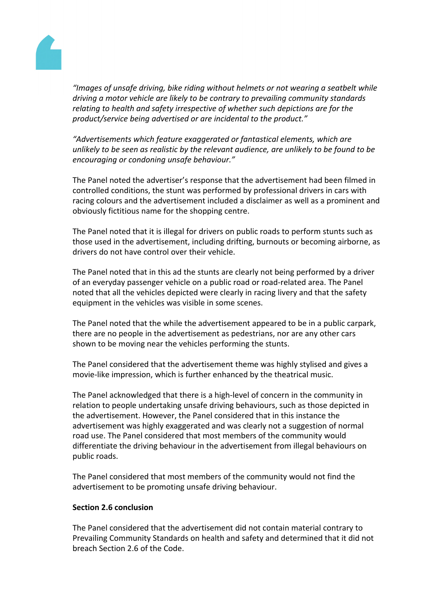

*"Images of unsafe driving, bike riding without helmets or not wearing a seatbelt while driving a motor vehicle are likely to be contrary to prevailing community standards relating to health and safety irrespective of whether such depictions are for the product/service being advertised or are incidental to the product."*

*"Advertisements which feature exaggerated or fantastical elements, which are unlikely to be seen as realistic by the relevant audience, are unlikely to be found to be encouraging or condoning unsafe behaviour."*

The Panel noted the advertiser's response that the advertisement had been filmed in controlled conditions, the stunt was performed by professional drivers in cars with racing colours and the advertisement included a disclaimer as well as a prominent and obviously fictitious name for the shopping centre.

The Panel noted that it is illegal for drivers on public roads to perform stunts such as those used in the advertisement, including drifting, burnouts or becoming airborne, as drivers do not have control over their vehicle.

The Panel noted that in this ad the stunts are clearly not being performed by a driver of an everyday passenger vehicle on a public road or road-related area. The Panel noted that all the vehicles depicted were clearly in racing livery and that the safety equipment in the vehicles was visible in some scenes.

The Panel noted that the while the advertisement appeared to be in a public carpark, there are no people in the advertisement as pedestrians, nor are any other cars shown to be moving near the vehicles performing the stunts.

The Panel considered that the advertisement theme was highly stylised and gives a movie-like impression, which is further enhanced by the theatrical music.

The Panel acknowledged that there is a high-level of concern in the community in relation to people undertaking unsafe driving behaviours, such as those depicted in the advertisement. However, the Panel considered that in this instance the advertisement was highly exaggerated and was clearly not a suggestion of normal road use. The Panel considered that most members of the community would differentiate the driving behaviour in the advertisement from illegal behaviours on public roads.

The Panel considered that most members of the community would not find the advertisement to be promoting unsafe driving behaviour.

### **Section 2.6 conclusion**

The Panel considered that the advertisement did not contain material contrary to Prevailing Community Standards on health and safety and determined that it did not breach Section 2.6 of the Code.